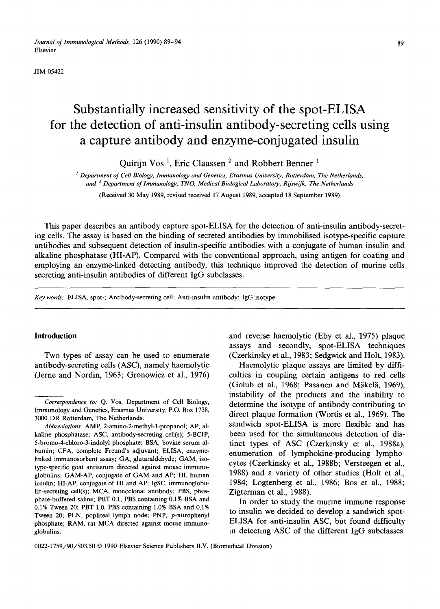*Journal of Immunological Methods,* 126 (1990) 89–94 **89** Elsevier

JIM 05422

# **Substantially increased sensitivity of the spot-ELISA for the detection of anti-insulin antibody-secreting cells using a capture antibody and enzyme-conjugated insulin**

Quirijn Vos 1, Eric Claassen 2 and Robbert Benner 1

*l Department of Cell Biology, Immunology and Genetics, Erasmus University, Rotterdam, The Netherlands, and 2 Department of lmmunology, TNO, Medical Biological Laboratory, Rijswo'k, The Netherlands* 

(Received 30 May 1989, revised received 17 August 1989, accepted 18 September 1989)

This paper describes an antibody capture spot-ELISA for the detection of anti-insulin antibody-secreting cells. The assay is based on the binding of secreted antibodies by immobilised isotype-specific capture antibodies and subsequent detection of insulin-specific antibodies with a conjugate of human insulin and alkaline phosphatase (HI-AP). Compared with the conventional approach, using antigen for coating and employing an enzyme-linked detecting antibody, this technique improved the detection of murine cells secreting anti-insulin antibodies of different IgG subclasses.

*Key words:* ELISA, spot-; Antibody-secreting cell; Anti-insulin antibody; IgG isotype

antibody-secreting cells (ASC), namely haemolytic Haemolytic plaque assays are limited by diffi-

Introduction and reverse haemolytic (Eby et al., 1975) plaque assays and secondly, spot-ELISA techniques Two types of assay can be used to enumerate (Czerkinsky et al., 1983; Sedgwick and Holt, 1983).

(Jerne and Nordin, 1963; Gronowicz et al., 1976) culties in coupling certain antigens to red cells (Golub et al., 1968; Pasanen and Mäkelä, 1969), instability of the products and the inability to *Correspondence to:* Q. Vos, Department of Cell Biology, determine the isotype of antibody contributing to Immunology and Genetics, Erasmus University, P.O. Box 1738, direct plaque formation (Wortis et al., 1969). The *Abbreviations:* AMP, 2-amino-2-methyl-1-propanol; AP, al-<br>
Sandwich spot-ELISA is more flexible and has kaline phosphatase; ASC, antibody-secreting cell(s); 5-BCIP, been used for the simultaneous detection of dis-5-bromo-4-chloro-3-indolyl phosphate; BSA, bovine serum al-<br>
bumin; CFA, complete Freund's adjuvant; ELISA, enzyme-<br>
enumeration of lymphokine producing lympho bumin; CFA, complete Freund's adjuvant; ELISA, enzyme-<br>linked immunosorbent assay; GA, glutaraldehyde; GAM, iso-<br>detailed and the control of lymphokine-producing lymphocytes (Czerkinsky et al., 1988b; Versteegen et al., globulins; GAM-AP, conjugate of GAM and AP; HI, human 1988) and a variety of other studies (Holt et al., insulin; HI-AP, conjugate of HI and AP; IgSC, immunoglobu- 1984; Logtenberg et al., 1986; Bos et al., 1988;

0.1% Tween 20, PBT 1.0, PBS containing 1.0% BSA and 0.1% to insulin we decided to develop a sandwich spot-<br>Tween 20; PLN, popliteal lymph node; PNP, p-nitrophenyl<br>phosphate: PAM, rat MCA directed against mouse immuno-<br>ELI

0022-1759/90/\$03.50 © 1990 Elsevier Science Publishers B.V. (Biomedical Division)

<sup>3000</sup> DR Rotterdam, The Netherlands.

type-specific goat antiserum directed against mouse immunolin-secreting cell(s); MCA, monoclonal antibody; PBS, phos-<br>
Zigterman et al., 1988). phate-buffered saline; PBT 0.1, PBS containing 0.1% BSA and In order to study the murine immune response<br>0.1% Tween 20; PBT 1.0, PBS containing 1.0% BSA and 0.1% phosphate; RAM, rat MCA directed against mouse immunoglobulins. **in detecting ASC of the different IgG subclasses. in detecting ASC** of the different IgG subclasses.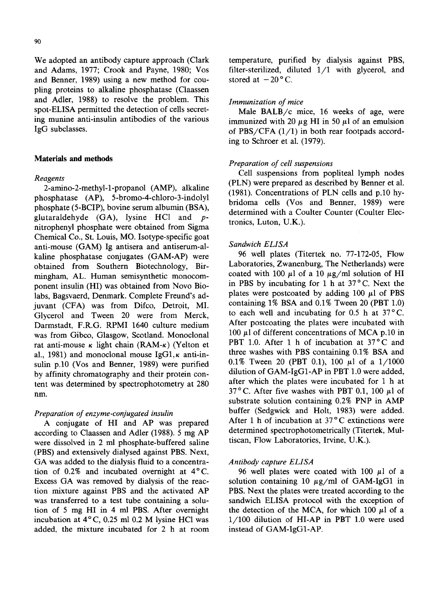and Adams, 1977; Crook and Payne, 1980; Vos filter-sterilized, di<br>and Benner, 1989) using a new method for couand Benner, 1989) using a new method for coupiing proteins to alkaline phosphatase (Claassen and Adler, 1988) to resolve the problem. This *Immunization of mice* spot-ELISA permitted the detection of cells secretspot-ELISA permitted the detection of cells secret-<br>ing munine anti-insulin antibodies of the various<br>immunized with 20 u.g. HI in 50 ul of an emulsion

2-amino-2-methyl-l-propanol (AMP), alkaline  $\mu$ -amino-2-inethyl-1-propanol (AMF), atkantie (1981). Concentrations of PLN cells and p.10 hy-<br>phosphatase (AP), 5-bromo-4-chloro-3-indolyl phosphate (5-BCIP), bovine serum albumin (BSA), oriuonia cens (vos anu benner, 1707) were glutaraldehyde  $(GA)$ , lysine HCl and  $p$ - determined with a Co<br>tronics, Luton, U.K.). nitrophenyl phosphate were obtained from Sigma Chemical Co., St. Louis, MO. Isotype-specific goat anti-mouse (GAM) Ig antisera and antiserum-al-<br>
kaline phosphatase conjugates (GAM-AP) were 96 well plates (Titertek no. 77-172-05, Flow kaline phosphatase conjugates (GAM-AP) were <br>  $\frac{96}{2}$  well plates (Titertek no. 77-172-05, Flow christen Biotechnology Bir. Laboratories, Zwanenburg, The Netherlands) were obtained from Southern Biotechnology, Bir-<br>mingham AI Human semisynthetic monocom-<br>coated with 100  $\mu$ l of a 10  $\mu$ g/ml solution of HI mingham, AL. Human semisynthetic monocom-<br>negative with 100  $\mu$ l of a 10  $\mu$ g/ml solution of HI<br>negative monocom-<br>in PBS by incubating for 1 h at 37°C. Next the ponent insulin (HI) was obtained from Novo Bio-<br>labs Bagswaerd Denmark Complete Freund's ad-<br>plates were postcoated by adding 100  $\mu$ l of PBS labs, Bagsvaerd, Denmark. Complete Freund's ad-<br>invant (CEA), was from Difce. Detroit MI containing 1% BSA and 0.1% Tween 20 (PBT 1.0) juvant  $(CFA)$  was from Difco, Detroit, MI. containing 1% BSA and 0.1% Tween 20 (PBT 1.0)<br>Glycerol and Tween 20 were from Merck to each well and incubating for 0.5 h at 37 °C. Glycerol and Tween 20 were from Merck, to each well and incubating for 0.5 h at  $37^{\circ}$ C.<br>Darmstadt FRG RPMI 1640 culture medium. After postcoating the plates were incubated with Darmstadt, F.R.G. RPMI 1640 culture medium After postcoating the plates were incubated with<br>was from Gibco. Glasgow, Scotland Monoclonal 100  $\mu$ l of different concentrations of MCA p.10 in was from Gibco, Glasgow, Scotland. Monoclonal  $100~\mu$ l of different concentrations of MCA p.10 in<br>ret anti-mouse  $\kappa$  light chain (PAM- $\kappa$ ) (Velton et PBT 1.0. After 1 h of incubation at 37 °C and rat anti-mouse  $\kappa$  light chain (RAM- $\kappa$ ) (Yelton et PBT 1.0. After 1 h of incubation at 37°C and result at 1981) and monoclonal mouse IgG1  $\kappa$  anti-in-<br>three washes with PBS containing 0.1% BSA and al., 1981) and monoclonal mouse IgG1, x anti-in-<br>sulin p.10 (Vos and Benner 1989) were purified  $0.1\%$  Tween 20 (PBT 0.1), 100  $\mu$ l of a 1/1000 sulin p.10 (Vos and Benner, 1989) were purified  $0.1\%$  Tween 20 (PBT 0.1), 100  $\mu$ l of a 1/1000<br>by affinity chromatography and their protein con-<br>dilution of GAM-IgG1-AP in PBT 1.0 were added, by affinity chromatography and their protein con-<br>tent was determined by spectrophotometry at 280 after which the plates were incubated for 1 h at tent was determined by spectrophotometry at 280 nm.  $37^{\circ}$ C. After five washes with PBT 0.1, 100  $\mu$ 1 of

 $\alpha$ ccording to Claassen and Adler (1988). 5 mg AP determined spectrophotometrically (Titer<br>were dissolved in 2 ml phosphate-buffered saline tiscan, Flow Laboratories, Irvine, U.K.). were dissolved in 2 ml phosphate-buffered saline (PBS) and extensively dialysed against PBS. Next, GA was added to the dialysis fluid to a concentra- *Antibody capture ELISA*  tion of 0.2% and incubated overnight at  $4^{\circ}$ C. 96 well plates were coated with 100  $\mu$ l of a Excess GA was removed by dialysis of the reac-<br>solution containing 10  $\mu$ g/ml of GAM-IgG1 in tion mixture against PBS and the activated AP PBS. Next the plates were treated according to the was transferred to a test tube containing a solu-<br>sandwich ELISA protocol with the exception of tion of 5 mg HI in 4 ml PBS. After overnight the detection of the MCA, for which 100  $\mu$ l of a incubation at 4°C, 0.25 ml 0.2 M lysine HCl was  $1/100$  dilution of HI-AP in PBT 1.0 were used added, the mixture incubated for 2 h at room instead of GAM-IgG1-AP.

We adopted an antibody capture approach (Clark temperature, purified by dialysis against PBS, and Adams, 1977; Crook and Payne, 1980; Vos filter-sterilized, diluted  $1/1$  with glycerol, and

ing munine anti-insulin antibodies of the various immunized with 20  $\mu$ g HI in 50  $\mu$ l of an emulsion IgG subclasses. of PBS/CFA  $(1/1)$  in both rear footpads according to Schroer et al. (1979).

## Materials and methods *Preparation of cell suspensions*

Cell suspensions from popliteal lymph nodes *Reagents* (PLN) were prepared as described by Benner et al. bridoma cells (Vos and Benner, 1989) were

substrate solution containing 0.2% PNP in AMP *Preparation of enzyme-conjugated insulin* buffer (Sedgwick and Holt, 1983) were added.<br>A conjugate of HI and AP was prepared. After 1 h of incubation at 37°C extinctions were A conjugate of HI and AP was prepared After 1 h of incubation at  $37^{\circ}$ C extinctions were<br>cording to Classen and Adler (1988) 5 mg AP determined spectrophotometrically (Titertek, Mul-

 $1/100$  dilution of HI-AP in PBT 1.0 were used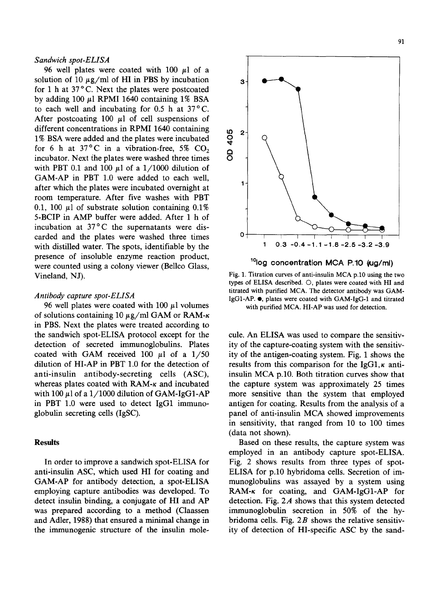### *Sandwich spot-ELISA*

96 well plates were coated with  $100 \text{ µl}$  of a solution of 10  $\mu$ g/ml of HI in PBS by incubation a for 1 h at  $37^{\circ}$ C. Next the plates were postcoated by adding 100  $\mu$ l RPMI 1640 containing 1% BSA to each well and incubating for 0.5 h at 37°C. After postcoating 100  $\mu$ 1 of cell suspensions of different concentrations in RPMI 1640 containing to 2<br>1% BSA were added and the plates were incubated  $\frac{Q}{Q}$ <br> $\frac{f_{\text{max}}}{Q}$  for 6 b at 27% G in a subpation free  $\frac{f_{\text{max}}}{Q}$  GO 1% BSA were added and the plates were incubated for 6 h at 37°C in a vibration-free, 5%  $CO<sub>2</sub>$ <br>incubator. Next the plates were washed three times  $\overrightarrow{O}$ incubator. Next the plates were washed three times with PBT 0.1 and 100  $\mu$ 1 of a 1/1000 dilution of GAM-AP in PBT 1.0 were added to each well, after which the plates were incubated overnight at room temperature. After five washes with PBT 0.1, 100  $\mu$ 1 of substrate solution containing 0.1% 5-BCIP in AMP buffer were added. After 1 h of incubation at 37°C the supernatants were discarded and the plates were washed three times  $0 \rightarrow 0.3 -0.4 -1.1 -1.8 -2.5 -3.2 -3.9$ <br>with distilled water. The spots identifiable by the  $1 \quad 0.3 -0.4 -1.1 -1.8 -2.5 -3.2 -3.9$ with distilled water. The spots, identifiable by the presence of insoluble enzyme reaction product, were counted using a colony viewer (Bellco Glass, <sup>10</sup>log concentration MCA P.10  $\mu$ g/ml) Vineland, NJ). Fig. 1. Titration curves of anti-insulin MCA p.10 using the two

of solutions containing 10  $\mu$ g/ml GAM or RAM- $\kappa$ in PBS. Next the plates were treated according to the sandwich spot-ELISA protocol except for the cule. An ELISA was used to compare the sensitiv-



types of ELISA described. O, plates were coated with HI and titrated with purified MCA. The detector antibody was GAM-*Antibody capture spot-ELISA*<br>IgG1-AP. •, plates were coated with GAM-IgG-1 and titrated<br>96 well plates were coated with 100 μl volumes<br>with nurified MCA HI-AP was used for detection with purified MCA. HI-AP was used for detection.

detection of secreted immunoglobulins. Plates ity of the capture-coating system with the sensitivcoated with GAM received 100  $\mu$ l of a 1/50 ity of the antigen-coating system. Fig. 1 shows the dilution of HI-AP in PBT 1.0 for the detection of results from this comparison for the IgG1,  $\kappa$  antianti-insulin antibody-secreting cells (ASC), insulin MCA p.10. Both titration curves show that whereas plates coated with  $RAM-x$  and incubated the capture system was approximately 25 times with  $100 \mu$ l of a  $1/1000$  dilution of GAM-IgG1-AP more sensitive than the system that employed in PBT 1.0 were used to detect IgG1 immuno- antigen for coating. Results from the analysis of a globulin secreting cells (IgSC). panel of anti-insulin MCA showed improvements in sensitivity, that ranged from 10 to 100 times (data not shown).

Results Based on these results, the capture system was employed in an antibody capture spot-ELISA. In order to improve a sandwich spot-ELISA for Fig. 2 shows results from three types of spotanti-insulin ASC, which used HI for coating and ELISA for p.10 hybridoma cells. Secretion of im-GAM-AP for antibody detection, a spot-ELISA munoglobulins was assayed by a system using employing capture antibodies was developed. To  $RAM-\kappa$  for coating, and GAM-IgG1-AP for detect insulin binding, a conjugate of HI and AP detection. Fig. 2A shows that this system detected was prepared according to a method (Claassen immunoglobulin secretion in 50% of the byand Adler, 1988) that ensured a minimal change in bridoma cells. Fig. 2B shows the relative sensitivthe immunogenic structure of the insulin mole- ity of detection of HI-specific ASC by the sand-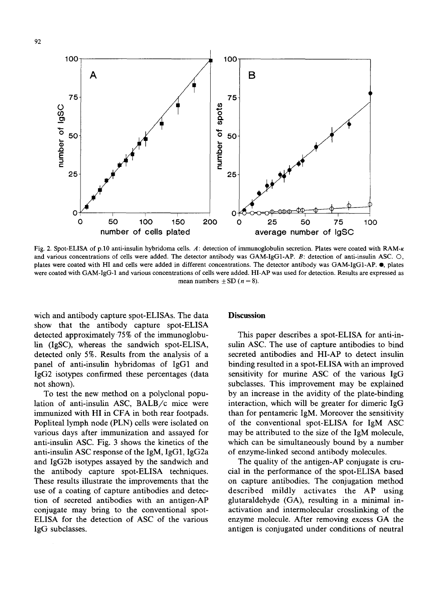

Fig. 2. Spot-ELISA of p.10 anti-insulin hybridoma cells. A: detection of immunoglobulin secretion. Plates were coated with RAM-x and various concentrations of cells were added. The detector antibody was GAM-IgG1-AP. B: detection of anti-insulin ASC. O, plates were coated with HI and cells were added in different concentrations. The detector antibody was GAM-IgG1-AP.  $\bullet$ , plates were coated with GAM-IgG-1 and various concentrations of ceils were added. HI-AP was used for detection. Results are expressed as mean numbers  $\pm$  SD ( $n = 8$ ).

wich and antibody capture spot-ELISAs. The data **Discussion** show that the antibody capture spot-ELISA detected approximately 75% of the immunoglobu- This paper describes a spot-ELISA for anti-inlin (IgSC), whereas the sandwich spot-ELISA, sulin ASC. The use of capture antibodies to bind detected only 5%. Results from the analysis of a secreted antibodies and HI-AP to detect insulin panel of anti-insulin hybridomas of IgG1 and binding resulted in a spot-ELISA with an improved IgG2 isotypes confirmed these percentages (data sensitivity for murine ASC of the various IgG not shown). Subclasses. This improvement may be explained

lation of anti-insulin ASC, BALB/c mice were interaction, which will be greater for dimeric IgG immunized with HI in CFA in both rear footpads, than for pentameric IgM. Moreover the sensitivity Popliteal lymph node (PLN) cells were isolated on of the conventional spot-ELISA for IgM ASC various days after immunization and assayed for may be attributed to the size of the IgM molecule, anti-insulin ASC. Fig. 3 shows the kinetics of the which can be simultaneously bound by a number anti-insulin ASC response of the IgM, IgG1, IgG2a of enzyme-linked second antibody molecules. and IgG2b isotypes assayed by the sandwich and The quality of the antigen-AP conjugate is cruthe antibody capture spot-ELISA techniques, cial in the performance of the spot-ELISA based These results illustrate the improvements that the on capture antibodies. The conjugation method use of a coating of capture antibodies and detec- described mildly activates the AP using tion of secreted antibodies with an antigen-AP glutaraldehyde (GA), resulting in a minimal inconjugate may bring to the conventional spot- activation and intermolecular crosslinking of the ELISA for the detection of ASC of the various enzyme molecule. After removing excess GA the IgG subclasses, antigen is conjugated under conditions of neutral

To test the new method on a polyclonal popu- by an increase in the avidity of the plate-binding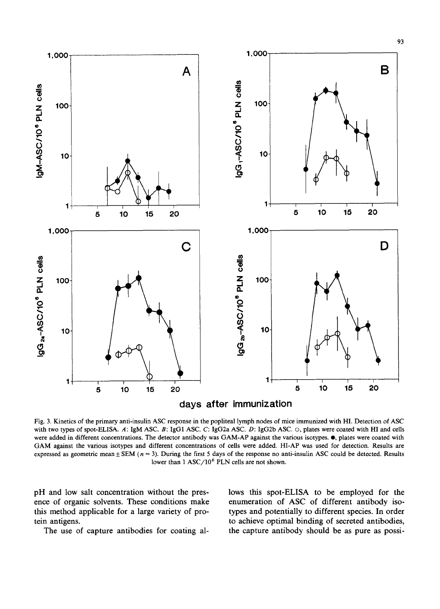

Fig. 3. Kinetics of the primary anti-insulin ASC response in the popliteal lymph nodes of mice immunized with HI. Detection of ASC with two types of spot-ELISA. A: IgM ASC. B: IgG1 ASC. C: IgG2a ASC. D: IgG2b ASC.  $\circ$ , plates were coated with HI and cells were added in different concentrations. The detector antibody was GAM-AP against the various isotypes, e, plates were coated with GAM against the various isotypes and different concentrations of cells were added. HI-AP was used for detection. Results are expressed as geometric mean  $\pm$  SEM ( $n = 3$ ). During the first 5 days of the response no anti-insulin ASC could be detected. Results lower than 1 ASC/10<sup>6</sup> PLN cells are not shown.

pH and low salt concentration without the pres- lows this spot-ELISA to be employed for the ence of organic solvents. These conditions make enumeration of ASC of different antibody isothis method applicable for a large variety of pro- types and potentially to different species. In order tein antigens, to achieve optimal binding of secreted antibodies, The use of capture antibodies for coating al-<br>the capture antibody should be as pure as possi